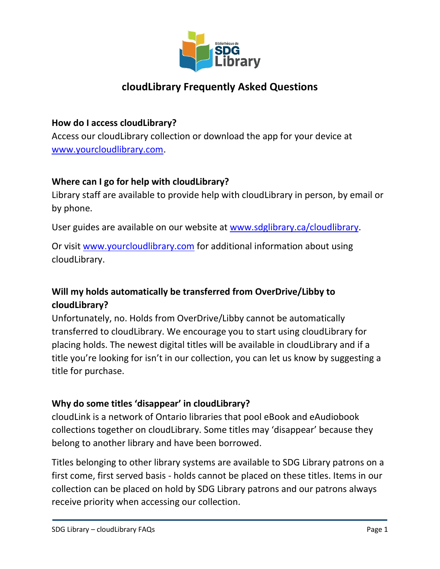

# **cloudLibrary Frequently Asked Questions**

## **How do I access cloudLibrary?**

Access our cloudLibrary collection or download the app for your device at [www.yourcloudlibrary.com.](http://www.yourcloudlibrary.com/)

## **Where can I go for help with cloudLibrary?**

Library staff are available to provide help with cloudLibrary in person, by email or by phone.

User guides are available on our website at [www.sdglibrary.ca/cloudlibrary.](http://www.sdglibrary.ca/cloudlibrary)

Or visit [www.yourcloudlibrary.com](http://www.yourcloudlibrary.com/) for additional information about using cloudLibrary.

# **Will my holds automatically be transferred from OverDrive/Libby to cloudLibrary?**

Unfortunately, no. Holds from OverDrive/Libby cannot be automatically transferred to cloudLibrary. We encourage you to start using cloudLibrary for placing holds. The newest digital titles will be available in cloudLibrary and if a title you're looking for isn't in our collection, you can let us know by suggesting a title for purchase.

# **Why do some titles 'disappear' in cloudLibrary?**

cloudLink is a network of Ontario libraries that pool eBook and eAudiobook collections together on cloudLibrary. Some titles may 'disappear' because they belong to another library and have been borrowed.

Titles belonging to other library systems are available to SDG Library patrons on a first come, first served basis - holds cannot be placed on these titles. Items in our collection can be placed on hold by SDG Library patrons and our patrons always receive priority when accessing our collection.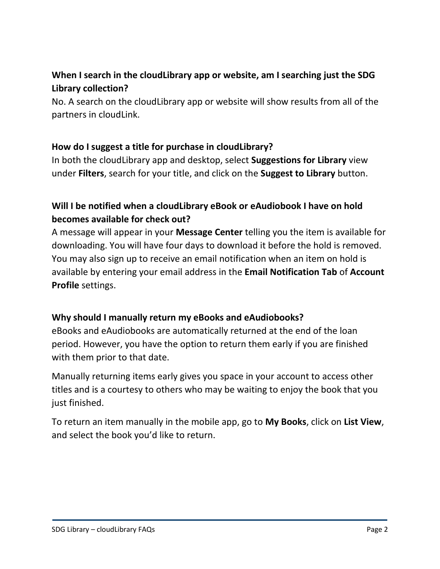# **When I search in the cloudLibrary app or website, am I searching just the SDG Library collection?**

No. A search on the cloudLibrary app or website will show results from all of the partners in cloudLink.

# **How do I suggest a title for purchase in cloudLibrary?**

In both the cloudLibrary app and desktop, select **Suggestions for Library** view under **Filters**, search for your title, and click on the **Suggest to Library** button.

# **Will I be notified when a cloudLibrary eBook or eAudiobook I have on hold becomes available for check out?**

A message will appear in your **Message Center** telling you the item is available for downloading. You will have four days to download it before the hold is removed. You may also sign up to receive an email notification when an item on hold is available by entering your email address in the **Email Notification Tab** of **Account Profile** settings.

#### **Why should I manually return my eBooks and eAudiobooks?**

eBooks and eAudiobooks are automatically returned at the end of the loan period. However, you have the option to return them early if you are finished with them prior to that date.

Manually returning items early gives you space in your account to access other titles and is a courtesy to others who may be waiting to enjoy the book that you just finished.

To return an item manually in the mobile app, go to **My Books**, click on **List View**, and select the book you'd like to return.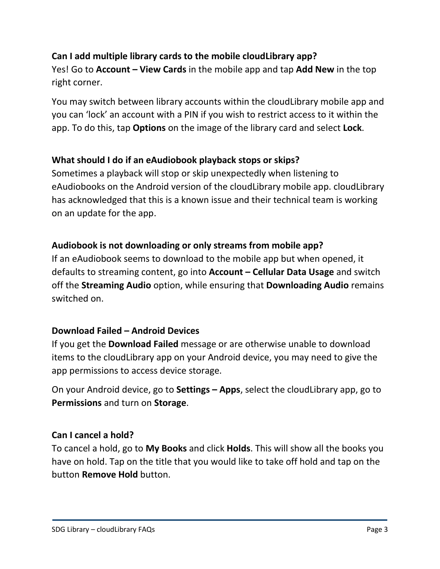# **Can I add multiple library cards to the mobile cloudLibrary app?**

Yes! Go to **Account – View Cards** in the mobile app and tap **Add New** in the top right corner.

You may switch between library accounts within the cloudLibrary mobile app and you can 'lock' an account with a PIN if you wish to restrict access to it within the app. To do this, tap **Options** on the image of the library card and select **Lock**.

## **What should I do if an eAudiobook playback stops or skips?**

Sometimes a playback will stop or skip unexpectedly when listening to eAudiobooks on the Android version of the cloudLibrary mobile app. cloudLibrary has acknowledged that this is a known issue and their technical team is working on an update for the app.

# **Audiobook is not downloading or only streams from mobile app?**

If an eAudiobook seems to download to the mobile app but when opened, it defaults to streaming content, go into **Account – Cellular Data Usage** and switch off the **Streaming Audio** option, while ensuring that **Downloading Audio** remains switched on.

#### **Download Failed – Android Devices**

If you get the **Download Failed** message or are otherwise unable to download items to the cloudLibrary app on your Android device, you may need to give the app permissions to access device storage.

On your Android device, go to **Settings – Apps**, select the cloudLibrary app, go to **Permissions** and turn on **Storage**.

#### **Can I cancel a hold?**

To cancel a hold, go to **My Books** and click **Holds**. This will show all the books you have on hold. Tap on the title that you would like to take off hold and tap on the button **Remove Hold** button.